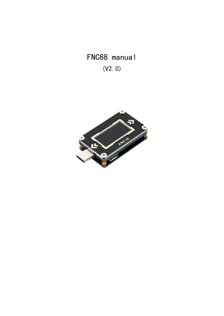FNC88 manual (V2.0)

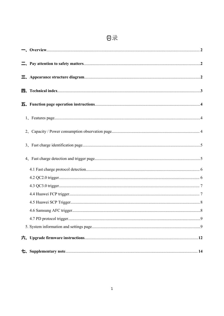# 日录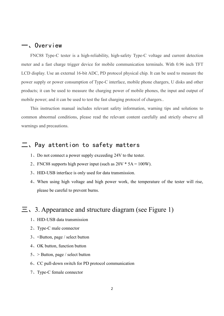## <span id="page-2-0"></span>一、Overview

FNC88 Type-C tester is a high-reliability, high-safety Type-C voltage and current detection meter and a fast charge trigger device for mobile communication terminals. With 0.96 inch TFT LCD display. Use an external 16-bit ADC, PD protocol physical chip. It can be used to measure the power supply or power consumption of Type-C interface, mobile phone chargers, U disks and other products; it can be used to measure the charging power of mobile phones, the input and output of mobile power; and it can be used to test the fast charging protocol of chargers..

This instruction manual includes relevant safety information, warning tips and solutions to common abnormal conditions, please read the relevant content carefully and strictly observe all warnings and precautions.

## <span id="page-2-1"></span>二、Pay attention to safety matters

- 1、Do not connect a power supply exceeding 24V to the tester.
- 2. FNC88 supports high power input (such as  $20V * 5A = 100W$ ).
- 3、HID-USB interface is only used for data transmission.
- 4、When using high voltage and high power work, the temperature of the tester will rise, please be careful to prevent burns.

## <span id="page-2-2"></span> $\equiv$ , 3. Appearance and structure diagram (see Figure 1)

- 1、HID-USB data transmission
- 2、Type-C male connector
- 3、<Button, page / select button
- 4、OK button, function button
- 5、> Button, page / select button
- 6、CC pull-down switch for PD protocol communication
- 7、Type-C female connector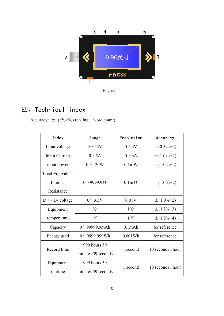

Figure 1

## 四、Technical index

<span id="page-3-0"></span>Accuracy:  $\pm$  (a% (%) reading + word count)

| Index                | Range                | Resolution         | Accuracy          |
|----------------------|----------------------|--------------------|-------------------|
| Input voltage        | $4{\sim}24V$         | 0.1mV              | $\pm (0.5\% + 2)$ |
| <b>Input Current</b> | $0 \sim 5A$          | 0.1 <sub>m</sub> A | $\pm(1.0\% + 2)$  |
| input power          | $0 \sim 120W$        | 0.1 <sub>m</sub> W | $\pm(1.0\% + 2)$  |
| Load Equivalent      |                      |                    |                   |
| Internal             | $0$ ~9999.9 $\Omega$ | $0.1$ m $\Omega$   | $\pm(1.0\% + 2)$  |
| Resistance           |                      |                    |                   |
| $D + / D$ - voltage  | $0 \sim 3.3 V$       | 0.01V              | $\pm(1.0\% + 2)$  |
| Equipment            | $\rm ^{\circ}C$      | $1^{\circ}$ C      | $\pm$ (1.2%+3)    |
| temperature          | F                    | $1^{\circ}F$       | $\pm$ (1.2%+4)    |
| Capacity             | $0 \sim 99999.9$ mAh | $0.1$ m $Ah$       | for reference     |
| Energy used          | $0 \sim 9999.999$ Wh | 0.001Wh            | for reference     |
| Record time          | 999 hours 59         | 1 second           | 10 seconds / hour |
|                      | minutes 59 seconds   |                    |                   |
| Equipment            | 999 hours 59         | 1 second           | 10 seconds / hour |
| runtime              | minutes 59 seconds   |                    |                   |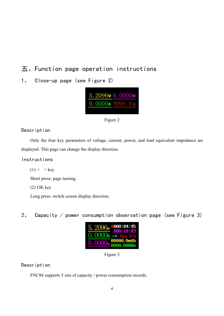## <span id="page-4-0"></span>五、Function page operation instructions

<span id="page-4-1"></span>1、 Close-up page (see Figure 2)





Description

Only the four key parameters of voltage, current, power, and load equivalent impedance are displayed. This page can change the display direction.

#### Instructions

 $(1)$  < > key

Short press: page turning.

(2) OK key

Long press: switch screen display direction.

<span id="page-4-2"></span>2、 Capacity / power consumption observation page (see Figure 3)



Figure 3

#### Description

FNC88 supports 5 sets of capacity / power consumption records.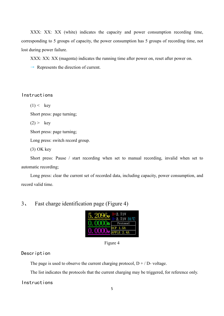XXX: XX: XX (white) indicates the capacity and power consumption recording time, corresponding to 5 groups of capacity, the power consumption has 5 groups of recording time, not lost during power failure.

XXX: XX: XX (magenta) indicates the running time after power on, reset after power on.

 $\rightarrow$  Represents the direction of current.

#### Instructions

 $(1) < \text{key}$ 

Short press: page turning;

 $(2)$  > key

Short press: page turning;

Long press: switch record group.

(3) OK key

Short press: Pause / start recording when set to manual recording, invalid when set to automatic recording;

Long press: clear the current set of recorded data, including capacity, power consumption, and record valid time.

## <span id="page-5-0"></span>3、 Fast charge identification page (Figure 4)



Figure 4

#### Description

The page is used to observe the current charging protocol,  $D + / D$ - voltage.

The list indicates the protocols that the current charging may be triggered, for reference only.

#### Instructions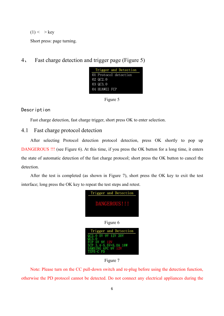$(1)$  < > key

Short press: page turning.

<span id="page-6-0"></span>4、 Fast charge detection and trigger page (Figure 5)

|                      | Trigger and Detection |
|----------------------|-----------------------|
|                      | 01 Protocol detection |
| $02 \, \text{QC}2.0$ |                       |
| 03 QC3.0             |                       |
| 04 HUAWEI FCP        |                       |

Figure 5

#### Description

<span id="page-6-1"></span>Fast charge detection, fast charge trigger, short press OK to enter selection.

## 4.1 Fast charge protocol detection

After selecting Protocol detection protocol detection, press OK shortly to pop up DANGEROUS !!! (see Figure 6). At this time, if you press the OK button for a long time, it enters the state of automatic detection of the fast charge protocol; short press the OK button to cancel the detection.

After the test is completed (as shown in Figure 7), short press the OK key to exit the test interface; long press the OK key to repeat the test steps and retest.







Figure 7

Note: Please turn on the CC pull-down switch and re-plug before using the detection function, otherwise the PD protocol cannot be detected. Do not connect any electrical appliances during the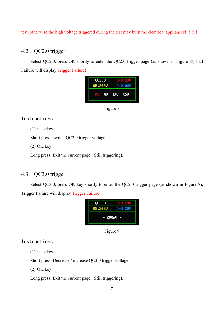test, otherwise the high voltage triggered during the test may burn the electrical appliances! !! !! !!

## 4.2 QC2.0 trigger

Select QC2.0, press OK shortly to enter the QC2.0 trigger page (as shown in Figure 8), Fail Failure will display Trigger Failure!

| QCZ.0   |            |
|---------|------------|
| 05.208V | D-0.00V    |
|         | 90 120 200 |

Figure 8

#### Instructions

 $(1)$  < > key

Short press: switch QC2.0 trigger voltage.

(2) OK key

Long press: Exit the current page. (Still triggering).

## 4.3 QC3.0 trigger

Select QC3.0, press OK key shortly to enter the QC2.0 trigger page (as shown in Figure 8), Trigger Failure will display Trigger Failure!



Figure 9

#### Instructions

 $(1)$  < > key

Short press: Decrease / increase QC3.0 trigger voltage.

(2) OK key

Long press: Exit the current page. (Still triggering).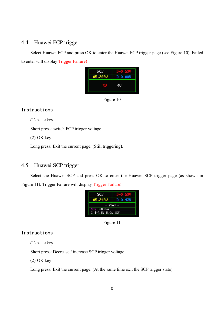## 4.4 Huawei FCP trigger

Select Huawei FCP and press OK to enter the Huawei FCP trigger page (see Figure 10). Failed to enter will display Trigger Failure!





#### Instructions

 $(1)$  < > key

Short press: switch FCP trigger voltage.

(2) OK key

Long press: Exit the current page. (Still triggering).

### 4.5 Huawei SCP trigger

Select the Huawei SCP and press OK to enter the Huawei SCP trigger page (as shown in Figure 11). Trigger Failure will display Trigger Failure!

| SCP                     |           |
|-------------------------|-----------|
| 05.248V                 | D-0.42V   |
|                         | $-25mU +$ |
| Now 05000mV             |           |
| $3.4 - 5.5V = 5.0A$ 18W |           |

Figure 11

#### Instructions

 $(1)$  < > key

Short press: Decrease / increase SCP trigger voltage.

(2) OK key

Long press: Exit the current page. (At the same time exit the SCP trigger state).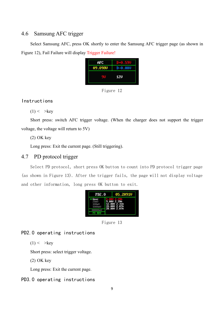## <span id="page-9-0"></span>4.6 Samsung AFC trigger

Select Samsung AFC, press OK shortly to enter the Samsung AFC trigger page (as shown in Figure 12), Fail Failure will display Trigger Failure!



Figure 12

#### Instructions

 $(1)$  < > key

Short press: switch AFC trigger voltage. (When the charger does not support the trigger voltage, the voltage will return to 5V)

(2) OK key

Long press: Exit the current page. (Still triggering).

## 4.7 PD protocol trigger

Select PD protocol, short press OK button to count into PD protocol trigger page (as shown in Figure 13). After the trigger fails, the page will not display voltage and other information, long press OK button to exit.



Figure 13

## PD2.0 operating instructions

 $(1)$  < > key

Short press: select trigger voltage.

(2) OK key

Long press: Exit the current page.

#### PD3.0 operating instructions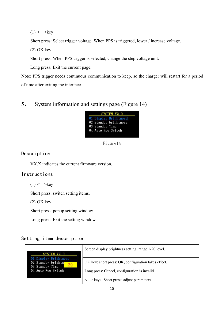$(1)$  < > key

Short press: Select trigger voltage. When PPS is triggered, lower / increase voltage.

(2) OK key

Short press: When PPS trigger is selected, change the step voltage unit.

Long press: Exit the current page.

Note: PPS trigger needs continuous communication to keep, so the charger will restart for a period of time after exiting the interface.

## <span id="page-10-0"></span>5、 System information and settings page (Figure 14)



Figure14

Description

VX.X indicates the current firmware version.

#### Instructions

 $(1)$  < > key

Short press: switch setting items.

(2) OK key

Short press: popup setting window.

Long press: Exit the setting window.

#### Setting item description

| SYSTEM V2.0                                                       | Screen display brightness setting, range 1-20 level.     |
|-------------------------------------------------------------------|----------------------------------------------------------|
| Display Brightness<br>02 Standby brightn<br>20<br>03 Standby Time | OK key: short press: OK, configuration takes effect.     |
| 04 Auto Rec Switch                                                | Long press: Cancel, configuration is invalid.            |
|                                                                   | $\langle \rangle$ > key: Short press: adjust parameters. |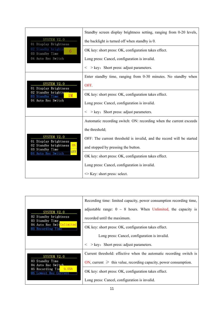|                                                | Standby screen display brightness setting, ranging from 0-20 levels,  |
|------------------------------------------------|-----------------------------------------------------------------------|
| <b>SYSTEM V2.0</b><br>01 Display Brightness    | the backlight is turned off when standby is 0.                        |
| 02 Standby brightn<br>6<br>03 Standby Time     | OK key: short press: OK, configuration takes effect.                  |
| 04 Auto Rec Switch                             | Long press: Cancel, configuration is invalid.                         |
|                                                | $\langle \rangle$ > key: Short press: adjust parameters.              |
|                                                | Enter standby time, ranging from 0-30 minutes. No standby when        |
| <b>SYSTEM V2.0</b><br>01 Display Brightness    | <b>OFF</b>                                                            |
| 02 Standby brightne<br>03 Standby Time         | OK key: short press: OK, configuration takes effect.                  |
| 04 Auto Rec Switch                             | Long press: Cancel, configuration is invalid.                         |
|                                                | $\langle \rangle$ > key: Short press: adjust parameters.              |
|                                                | Automatic recording switch: ON: recording when the current exceeds    |
|                                                | the threshold;                                                        |
| <b>SYSTEM V2.0</b><br>01 Display Brightness    | OFF: The current threshold is invalid, and the record will be started |
| 02 Standby brightness<br>ON<br>03 Standby Time | and stopped by pressing the button.                                   |
| <b>OFF</b><br>04 Auto Rec Switch               | OK key: short press: OK, configuration takes effect.                  |
|                                                | Long press: Cancel, configuration is invalid.                         |
|                                                | $\leq$ Key: short press: select.                                      |

|                                                    | Recording time: limited capacity, power consumption recording time,   |  |
|----------------------------------------------------|-----------------------------------------------------------------------|--|
| <b>SYSTEM V2.0</b>                                 | adjustable range: $0 \sim 8$ hours. When Unlimited, the capacity is   |  |
| 02 Standby brightness<br>03 Standby Time           | recorded until the maximum.                                           |  |
| Auto Rec Swittnlimited<br>04<br>05 Recording Time  | OK key: short press: OK, configuration takes effect.                  |  |
|                                                    | Long press: Cancel, configuration is invalid.                         |  |
|                                                    | $\langle \rangle$ > key: Short press: adjust parameters.              |  |
| <b>SYSTEM V2.0</b>                                 | Current threshold: effective when the automatic recording switch is   |  |
| 03 Standby Time<br>04 Auto Rec Switch              | ON, current $\geq$ this value, recording capacity, power consumption. |  |
| 05 Recording Tim<br>0.05A<br>06 Lowest Rec Current | OK key: short press: OK, configuration takes effect.                  |  |
|                                                    | Long press: Cancel, configuration is invalid.                         |  |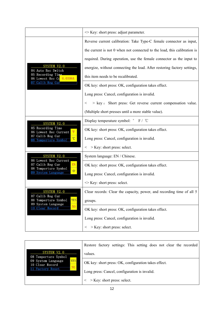|                                                            | $\leq$ Key: short press: adjust parameter.                               |
|------------------------------------------------------------|--------------------------------------------------------------------------|
|                                                            | Reverse current calibration: Take Type-C female connector as input,      |
|                                                            | the current is not 0 when not connected to the load, this calibration is |
|                                                            | required. During operation, use the female connector as the input to     |
| <b>SYSTEM V2.0</b><br>04 Auto Rec Switch                   | energize, without connecting the load. After restoring factory settings, |
| 05 Recording Time<br>06 Lowest Rec Cu 0.0306A              | this item needs to be recalibrated.                                      |
| 07 Calib Reg Cur                                           | OK key: short press: OK, configuration takes effect.                     |
|                                                            | Long press: Cancel, configuration is invalid.                            |
|                                                            | > key: Short press: Get reverse current compensation value.<br>$\,<\,$   |
|                                                            | (Multiple short presses until a more stable value).                      |
| <b>SYSTEM V2.0</b>                                         | Display temperature symbol: $\degree$ F / $\degree$ C                    |
| 05 Recording Time<br>06 Lowest Rec Current                 | OK key: short press: OK, configuration takes effect.                     |
| 07 Calib Reg Cur<br>$\overline{C}$<br>08 Temperture Symbol | Long press: Cancel, configuration is invalid.                            |
|                                                            | $\langle$ > Key: short press: select.                                    |
| <b>SYSTEM V2.0</b><br>06 Lowest Rec Current                | System language: EN / Chinese.                                           |
| 07 Calib Reg Cur<br>EN<br>08 Temperture Symbol             | OK key: short press: OK, configuration takes effect.                     |
| 中<br>09 System Language                                    | Long press: Cancel, configuration is invalid.                            |
|                                                            | $\leq$ Key: short press: select.                                         |
| <b>SYSTEM V2.0</b><br>07 Calib Reg Cur                     | Clear records: Clear the capacity, power, and recording time of all 5    |
| <b>YES</b><br>08 Temperture Symbol<br>09 System Language   | groups.                                                                  |
| N <sub>O</sub><br>10 Clear Record                          | OK key: short press: OK, configuration takes effect.                     |
|                                                            | Long press: Cancel, configuration is invalid.                            |
|                                                            | > Key: short press: select.<br>$\lt$                                     |

|                                                     | Restore factory settings: This setting does not clear the recorded |  |
|-----------------------------------------------------|--------------------------------------------------------------------|--|
| <b>SYSTEM V2.0</b><br>08 Temperture Symbol          | values.                                                            |  |
| <b>YES</b><br>09 System Language<br>10 Clear Record | OK key: short press: OK, configuration takes effect.               |  |
| 11 Factory Reset                                    | Long press: Cancel, configuration is invalid.                      |  |
|                                                     | $>$ Key: short press: select.                                      |  |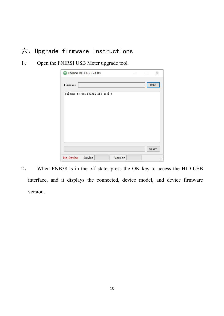## <span id="page-13-0"></span>六、Upgrade firmware instructions

1、 Open the FNIRSI USB Meter upgrade tool.

| Firmware                           |  | OPEN         |
|------------------------------------|--|--------------|
| Welcome to the FNIRSI DFU tool !!! |  |              |
|                                    |  |              |
|                                    |  |              |
|                                    |  |              |
|                                    |  |              |
|                                    |  |              |
|                                    |  |              |
|                                    |  |              |
|                                    |  |              |
|                                    |  | <b>START</b> |

2、 When FNB38 is in the off state, press the OK key to access the HID-USB interface, and it displays the connected, device model, and device firmware version.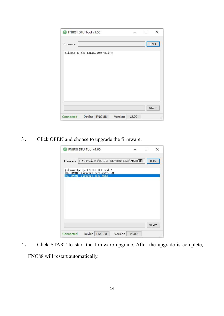|                                    | <b>ENIRSI DFU Tool v1.00</b> |  | and the second | $\times$     |
|------------------------------------|------------------------------|--|----------------|--------------|
| Firmware                           |                              |  |                | OPEN         |
| Welcome to the FNIRSI DFU tool !!! |                              |  |                |              |
|                                    |                              |  |                |              |
|                                    |                              |  |                |              |
|                                    |                              |  |                |              |
|                                    |                              |  |                |              |
|                                    |                              |  |                |              |
|                                    |                              |  |                |              |
|                                    |                              |  |                |              |
|                                    |                              |  |                | <b>START</b> |

3、 Click OPEN and choose to upgrade the firmware.

| Firmware |                                    |                                   | E:\4. Projects\2019\6. FNC-88\2. Code\FNC88固件 | OPEN |
|----------|------------------------------------|-----------------------------------|-----------------------------------------------|------|
|          |                                    | Welcome to the FNIRSI DFU tool!!! |                                               |      |
|          | $[09:39:01]$ Firmware size: $45KB$ | [09:39:01] Firmware version:v2.00 |                                               |      |
|          |                                    |                                   |                                               |      |
|          |                                    |                                   |                                               |      |
|          |                                    |                                   |                                               |      |
|          |                                    |                                   |                                               |      |
|          |                                    |                                   |                                               |      |
|          |                                    |                                   |                                               |      |
|          |                                    |                                   |                                               |      |

4、 Click START to start the firmware upgrade. After the upgrade iscomplete, FNC88 will restart automatically.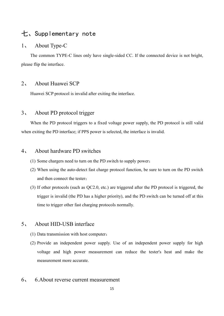## <span id="page-15-0"></span>七、Supplementary note

#### 1、 About Type-C

The common TYPE-C lines only have single-sided CC. If the connected device is not bright, please flip the interface.

#### 2、 About Huawei SCP

Huawei SCP protocol is invalid after exiting the interface.

#### 3、 About PD protocol trigger

When the PD protocol triggers to a fixed voltage power supply, the PD protocol is still valid when exiting the PD interface; if PPS power is selected, the interface is invalid.

#### 4、 About hardware PD switches

- (1) Some chargers need to turn on the PD switch to supply power;
- (2) When using the auto-detect fast charge protocol function, be sure to turn on the PD switch and then connect the tester;
- (3) If other protocols (such as QC2.0, etc.) are triggered after the PD protocol is triggered, the trigger is invalid (the PD has a higher priority), and the PD switch can be turned off at this time to trigger other fast charging protocols normally.

#### 5、 About HID-USB interface

- (1) Data transmission with host computer;
- (2) Provide an independent power supply. Use of an independent power supply for high voltage and high power measurement can reduce the tester's heat and make the measurement more accurate.

### 6、 6.About reverse current measurement